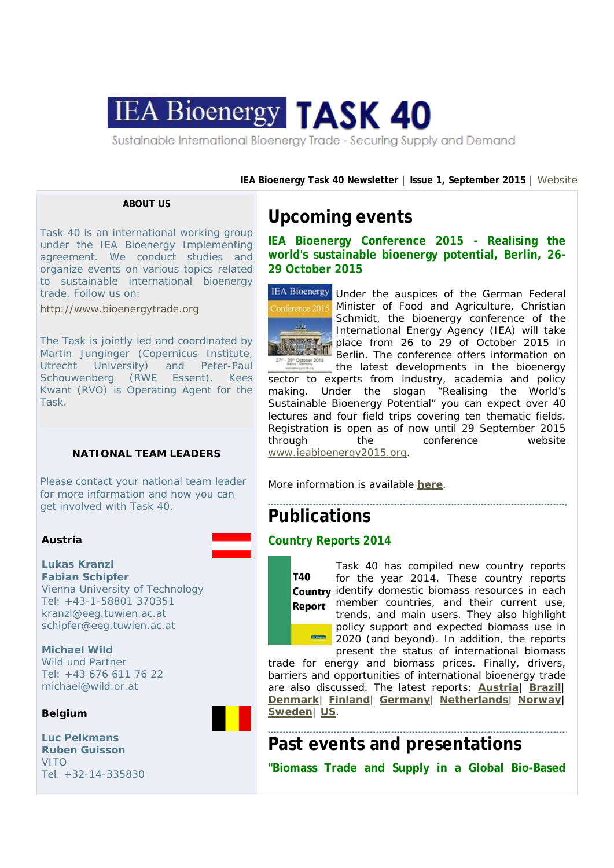

**IEA Bioenergy Task 40 Newsletter** | **Issue 1, September 2015** | Website

### **ABOUT US**

Task 40 is an international working group under the IEA Bioenergy Implementing agreement. We conduct studies and organize events on various topics related to sustainable international bioenergy trade. Follow us on:

http://www.bioenergytrade.org

The Task is jointly led and coordinated by Martin Junginger (Copernicus Institute, Utrecht University) and Peter-Paul Schouwenberg (RWE Essent). Kees Kwant (RVO) is Operating Agent for the Task.

### **NATIONAL TEAM LEADERS**

Please contact your national team leader for more information and how you can get involved with Task 40.

### **Austria**

**Lukas Kranzl Fabian Schipfer** Vienna University of Technology Tel: +43-1-58801 370351 kranzl@eeg.tuwien.ac.at schipfer@eeg.tuwien.ac.at

**Michael Wild** Wild und Partner Tel: +43 676 611 76 22 michael@wild.or.at

### **Belgium**

**Luc Pelkmans Ruben Guisson** VITO Tel. +32-14-335830

# **Upcoming events**

**IEA Bioenergy Conference 2015 - Realising the world's sustainable bioenergy potential, Berlin, 26- 29 October 2015** 



IEA Bioenergy Under the auspices of the German Federal Minister of Food and Agriculture, Christian Schmidt, the bioenergy conference of the International Energy Agency (IEA) will take place from 26 to 29 of October 2015 in Berlin. The conference offers information on the latest developments in the bioenergy

sector to experts from industry, academia and policy making. Under the slogan "Realising the World's Sustainable Bioenergy Potential" you can expect over 40 lectures and four field trips covering ten thematic fields. Registration is open as of now until 29 September 2015 through the conference website www.ieabioenergy2015.org.

More information is available **here**.

# **Publications**

# **Country Reports 2014**



Task 40 has compiled new country reports for the year 2014. These country reports Country identify domestic biomass resources in each Report member countries, and their current use, trends, and main users. They also highlight policy support and expected biomass use in 2020 (and beyond). In addition, the reports present the status of international biomass

trade for energy and biomass prices. Finally, drivers, barriers and opportunities of international bioenergy trade are also discussed. The latest reports: **Austria**| **Brazil**| **Denmark**| **Finland**| **Germany**| **Netherlands**| **Norway**| **Sweden**| **US**.

**Past events and presentations "Biomass Trade and Supply in a Global Bio-Based**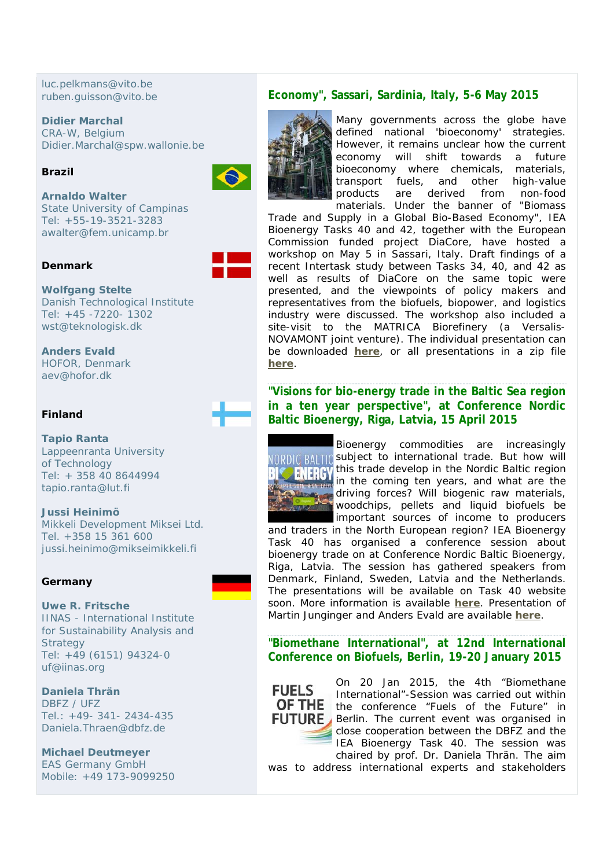luc.pelkmans@vito.be ruben.guisson@vito.be

**Didier Marchal** CRA-W, Belgium Didier.Marchal@spw.wallonie.be

# **Brazil**



**Arnaldo Walter** State University of Campinas Tel: +55-19-3521-3283 awalter@fem.unicamp.br

# **Denmark**

**Wolfgang Stelte** Danish Technological Institute Tel: +45 -7220- 1302 wst@teknologisk.dk

**Anders Evald** HOFOR, Denmark aev@hofor.dk

# **Finland**

**Tapio Ranta** Lappeenranta University of Technology Tel: + 358 40 8644994 tapio.ranta@lut.fi

**Jussi Heinimö** Mikkeli Development Miksei Ltd. Tel. +358 15 361 600 jussi.heinimo@mikseimikkeli.fi

# **Germany**

### **Uwe R. Fritsche** IINAS - International Institute for Sustainability Analysis and **Strategy** Tel: +49 (6151) 94324-0 uf@iinas.org

**Daniela Thrän** DBFZ / UFZ Tel.: +49- 341- 2434-435 Daniela.Thraen@dbfz.de

**Michael Deutmeyer** EAS Germany GmbH Mobile: +49 173-9099250

# **Economy", Sassari, Sardinia, Italy, 5-6 May 2015**



Many governments across the globe have defined national 'bioeconomy' strategies. However, it remains unclear how the current economy will shift towards a future bioeconomy where chemicals, materials, transport fuels, and other high-value products are derived from non-food materials. Under the banner of "Biomass

Trade and Supply in a Global Bio-Based Economy", IEA Bioenergy Tasks 40 and 42, together with the European Commission funded project DiaCore, have hosted a workshop on May 5 in Sassari, Italy. Draft findings of a recent Intertask study between Tasks 34, 40, and 42 as well as results of DiaCore on the same topic were presented, and the viewpoints of policy makers and representatives from the biofuels, biopower, and logistics industry were discussed. The workshop also included a site-visit to the MATRICA Biorefinery (a Versalis-NOVAMONT joint venture). The individual presentation can be downloaded **here**, or all presentations in a zip file **here**.

**"Visions for bio-energy trade in the Baltic Sea region in a ten year perspective", at Conference Nordic Baltic Bioenergy, Riga, Latvia, 15 April 2015**



Bioenergy commodities are increasingly **NORDIC BALTIC subject to international trade. But how will** this trade develop in the Nordic Baltic region in the coming ten years, and what are the driving forces? Will biogenic raw materials, woodchips, pellets and liquid biofuels be important sources of income to producers

and traders in the North European region? IEA Bioenergy Task 40 has organised a conference session about bioenergy trade on at Conference Nordic Baltic Bioenergy, Riga, Latvia. The session has gathered speakers from Denmark, Finland, Sweden, Latvia and the Netherlands. The presentations will be available on Task 40 website soon. More information is available **here**. Presentation of Martin Junginger and Anders Evald are available **here**.

**"Biomethane International", at 12nd International Conference on Biofuels, Berlin, 19-20 January 2015**



On 20 Jan 2015, the 4th "Biomethane International"-Session was carried out within the conference "Fuels of the Future" in **FUTURE** Berlin. The current event was organised in close cooperation between the DBFZ and the IEA Bioenergy Task 40. The session was chaired by prof. Dr. Daniela Thrän. The aim

was to address international experts and stakeholders